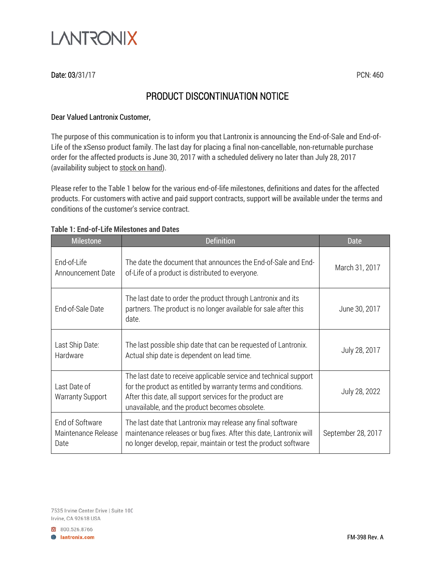

## Date: 03/31/17 PCN: 460

# PRODUCT DISCONTINUATION NOTICE

### Dear Valued Lantronix Customer,

The purpose of this communication is to inform you that Lantronix is announcing the End-of-Sale and End-of-Life of the xSenso product family. The last day for placing a final non-cancellable, non-returnable purchase order for the affected products is June 30, 2017 with a scheduled delivery no later than July 28, 2017 (availability subject to stock on hand).

Please refer to the Table 1 below for the various end-of-life milestones, definitions and dates for the affected products. For customers with active and paid support contracts, support will be available under the terms and conditions of the customer's service contract.

| <b>Milestone</b>                               | <b>Definition</b>                                                                                                                                                                                                                                 | Date               |
|------------------------------------------------|---------------------------------------------------------------------------------------------------------------------------------------------------------------------------------------------------------------------------------------------------|--------------------|
| End-of-Life<br>Announcement Date               | The date the document that announces the End-of-Sale and End-<br>of-Life of a product is distributed to everyone.                                                                                                                                 | March 31, 2017     |
| End-of-Sale Date                               | The last date to order the product through Lantronix and its<br>partners. The product is no longer available for sale after this<br>date.                                                                                                         | June 30, 2017      |
| Last Ship Date:<br>Hardware                    | The last possible ship date that can be requested of Lantronix.<br>Actual ship date is dependent on lead time.                                                                                                                                    | July 28, 2017      |
| Last Date of<br><b>Warranty Support</b>        | The last date to receive applicable service and technical support<br>for the product as entitled by warranty terms and conditions.<br>After this date, all support services for the product are<br>unavailable, and the product becomes obsolete. | July 28, 2022      |
| End of Software<br>Maintenance Release<br>Date | The last date that Lantronix may release any final software<br>maintenance releases or bug fixes. After this date, Lantronix will<br>no longer develop, repair, maintain or test the product software                                             | September 28, 2017 |

#### **Table 1: End-of-Life Milestones and Dates**

7535 Irvine Center Drive | Suite 100 Irvine, CA 92618 USA

800.526.8766 **+ lantronix.com**